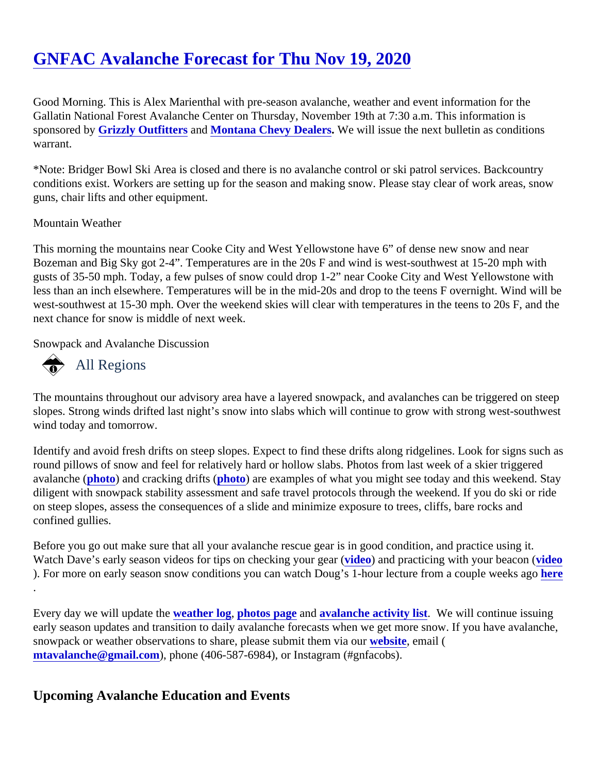## [GNFAC Avalanche Forecast for Thu Nov 19, 202](https://www.mtavalanche.com/forecast/20/11/19)0

Good Morning. This is Alex Marienthal with pre-season avalanche, weather and event information for the Gallatin National Forest Avalanche Center on Thursday, November 19th at 7:30 a.m. This information is sponsored b Grizzly Outfitters and Montana Chevy Dealers We will issue the next bulletin as conditions warrant.

\*Note: Bridger Bowl Ski Area is closed and there is no avalanche control or ski patrol services. Backcountry conditions exist. Workers are setting up for the season and making snow. Please stay clear of work areas, snow guns, chair lifts and other equipment.

## Mountain Weather

This morning the mountains near Cooke City and West Yellowstone have 6" of dense new snow and near Bozeman and Big Sky got 2-4". Temperatures are in the 20s F and wind is west-southwest at 15-20 mph with gusts of 35-50 mph. Today, a few pulses of snow could drop 1-2" near Cooke City and West Yellowstone with less than an inch elsewhere. Temperatures will be in the mid-20s and drop to the teens F overnight. Wind will west-southwest at 15-30 mph. Over the weekend skies will clear with temperatures in the teens to 20s F, and next chance for snow is middle of next week.

Snowpack and Avalanche Discussion

## All Regions

The mountains throughout our advisory area have a layered snowpack, and avalanches can be triggered on steep slopes. Strong winds drifted last night's snow into slabs which will continue to grow with strong west-southwe wind today and tomorrow.

Identify and avoid fresh drifts on steep slopes. Expect to find these drifts along ridgelines. Look for signs such round pillows of snow and feel for relatively hard or hollow slabs. Photos from last week of a skier triggered avalanche [\(photo](https://www.mtavalanche.com/images/20/wind-slab-n-bridgers)) and cracking drift[s \(photo\)](https://www.mtavalanche.com/images/20/skier-triggered-hard-wind-slabs-near-hardscrabble-peak) are examples of what you might see today and this weekend. Stay diligent with snowpack stability assessment and safe travel protocols through the weekend. If you do ski or rid on steep slopes, assess the consequences of a slide and minimize exposure to trees, cliffs, bare rocks and confined gullies.

Before you go out make sure that all your avalanche rescue gear is in good condition, and practice using it. Watch Dave's early season [video](https://youtu.be/p1xuaaSq4YU)s for tips on checking your gidap) and practicing with your beaconideo ). For more on early season snow conditions you can watch Doug's 1-hour lecture from a couple [weeks](https://youtu.be/vyKdBBzd5IE) ago .

Every day we will update the eather log [photos page](https://www.mtavalanche.com/photos) an[d avalanche activity list.](https://www.mtavalanche.com/avalanche-activity) We will continue issuing early season updates and transition to daily avalanche forecasts when we get more snow. If you have avalan snowpack or weather observations to share, please submit them wickstung email ( [mtavalanche@gmail.com](mailto:mtavalanche@gmail.com)), phone (406-587-6984), or Instagram (#gnfacobs).

Upcoming Avalanche Education and Events